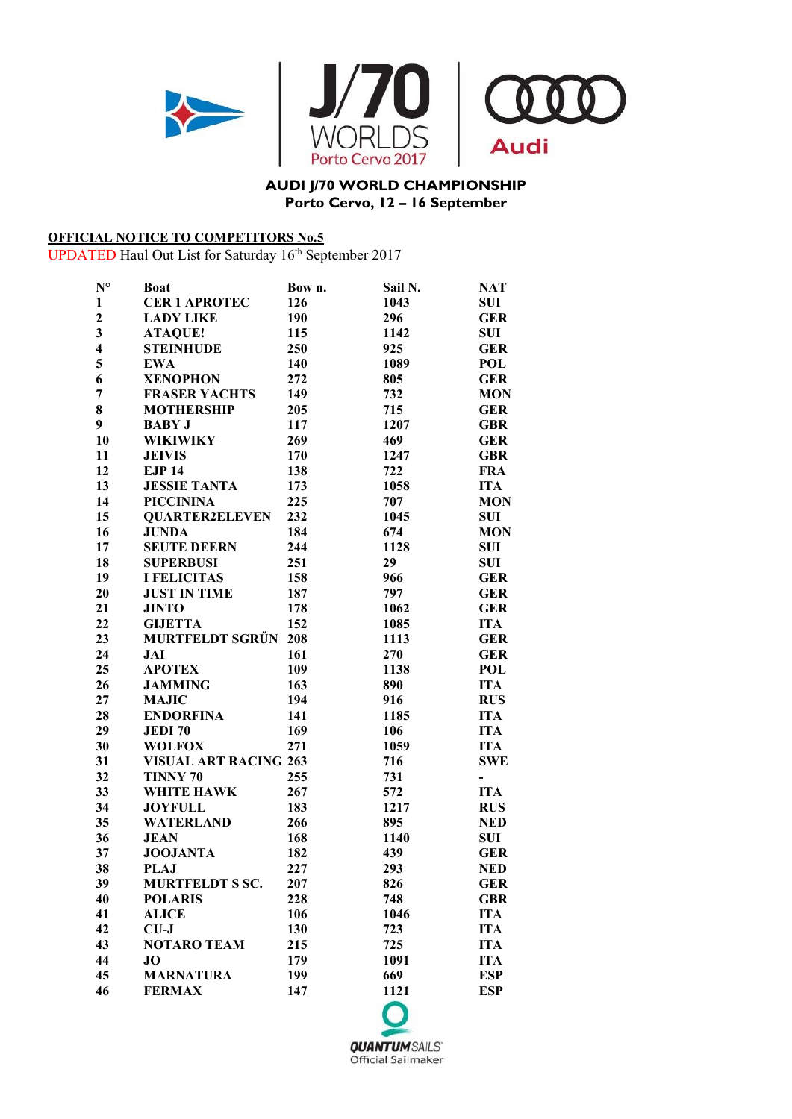

## **AUDI J/70 WORLD CHAMPIONSHIP Porto Cervo, 12 – 16 September**

## **OFFICIAL NOTICE TO COMPETITORS No.5**

UPDATED Haul Out List for Saturday 16<sup>th</sup> September 2017

| $N^{\circ}$             | <b>Boat</b>                  | Bow n. | Sail N. | <b>NAT</b>               |
|-------------------------|------------------------------|--------|---------|--------------------------|
| $\mathbf{1}$            | <b>CER 1 APROTEC</b>         | 126    | 1043    | <b>SUI</b>               |
| $\overline{2}$          | <b>LADY LIKE</b>             | 190    | 296     | <b>GER</b>               |
| $\mathbf{3}$            | <b>ATAQUE!</b>               | 115    | 1142    | <b>SUI</b>               |
| $\overline{\mathbf{4}}$ | <b>STEINHUDE</b>             | 250    | 925     | <b>GER</b>               |
| 5                       | <b>EWA</b>                   | 140    | 1089    | <b>POL</b>               |
| 6                       | <b>XENOPHON</b>              | 272    | 805     | <b>GER</b>               |
| 7                       | <b>FRASER YACHTS</b>         | 149    | 732     | <b>MON</b>               |
| 8                       | <b>MOTHERSHIP</b>            | 205    | 715     | <b>GER</b>               |
| 9                       | <b>BABY J</b>                | 117    | 1207    | <b>GBR</b>               |
| 10                      | <b>WIKIWIKY</b>              | 269    | 469     | <b>GER</b>               |
| 11                      | <b>JEIVIS</b>                | 170    | 1247    | <b>GBR</b>               |
| 12                      | <b>EJP 14</b>                | 138    | 722     | <b>FRA</b>               |
| 13                      | <b>JESSIE TANTA</b>          | 173    | 1058    | <b>ITA</b>               |
| 14                      | <b>PICCININA</b>             | 225    | 707     | <b>MON</b>               |
| 15                      | <b>QUARTER2ELEVEN</b>        | 232    | 1045    | <b>SUI</b>               |
| 16                      | <b>JUNDA</b>                 | 184    | 674     | <b>MON</b>               |
| 17                      | <b>SEUTE DEERN</b>           | 244    | 1128    | <b>SUI</b>               |
| 18                      | <b>SUPERBUSI</b>             | 251    | 29      | <b>SUI</b>               |
| 19                      | <b>I FELICITAS</b>           | 158    | 966     | <b>GER</b>               |
| 20                      | <b>JUST IN TIME</b>          | 187    | 797     | <b>GER</b>               |
| 21                      | <b>JINTO</b>                 | 178    | 1062    | <b>GER</b>               |
| 22                      | <b>GIJETTA</b>               | 152    | 1085    | <b>ITA</b>               |
| 23                      | <b>MURTFELDT SGRÜN</b>       | 208    | 1113    | <b>GER</b>               |
| 24                      | <b>JAI</b>                   | 161    | 270     | <b>GER</b>               |
| 25                      | <b>APOTEX</b>                | 109    | 1138    | <b>POL</b>               |
| 26                      | <b>JAMMING</b>               | 163    | 890     | <b>ITA</b>               |
| 27                      | <b>MAJIC</b>                 | 194    | 916     | <b>RUS</b>               |
| 28                      | <b>ENDORFINA</b>             | 141    | 1185    | <b>ITA</b>               |
| 29                      | <b>JEDI70</b>                | 169    | 106     | <b>ITA</b>               |
| 30                      | <b>WOLFOX</b>                | 271    | 1059    | <b>ITA</b>               |
| 31                      | <b>VISUAL ART RACING 263</b> |        | 716     | <b>SWE</b>               |
| 32                      | TINNY 70                     | 255    | 731     | $\overline{\phantom{0}}$ |
| 33                      | WHITE HAWK                   | 267    | 572     | <b>ITA</b>               |
| 34                      | <b>JOYFULL</b>               | 183    | 1217    | <b>RUS</b>               |
| 35                      | <b>WATERLAND</b>             | 266    | 895     | <b>NED</b>               |
| 36                      | <b>JEAN</b>                  | 168    | 1140    | <b>SUI</b>               |
| 37                      | <b>JOOJANTA</b>              | 182    | 439     | <b>GER</b>               |
| 38                      | <b>PLAJ</b>                  | 227    | 293     | <b>NED</b>               |
| 39                      | <b>MURTFELDT S SC.</b>       | 207    | 826     | <b>GER</b>               |
| 40                      | <b>POLARIS</b>               | 228    | 748     | <b>GBR</b>               |
| 41                      | <b>ALICE</b>                 | 106    | 1046    | <b>ITA</b>               |
| 42                      | $CU-J$                       | 130    | 723     | <b>ITA</b>               |
| 43                      | <b>NOTARO TEAM</b>           | 215    | 725     | <b>ITA</b>               |
| 44                      | JО                           | 179    | 1091    | <b>ITA</b>               |
| 45                      | <b>MARNATURA</b>             | 199    | 669     | <b>ESP</b>               |
| 46                      | <b>FERMAX</b>                | 147    | 1121    | <b>ESP</b>               |
|                         |                              |        |         |                          |